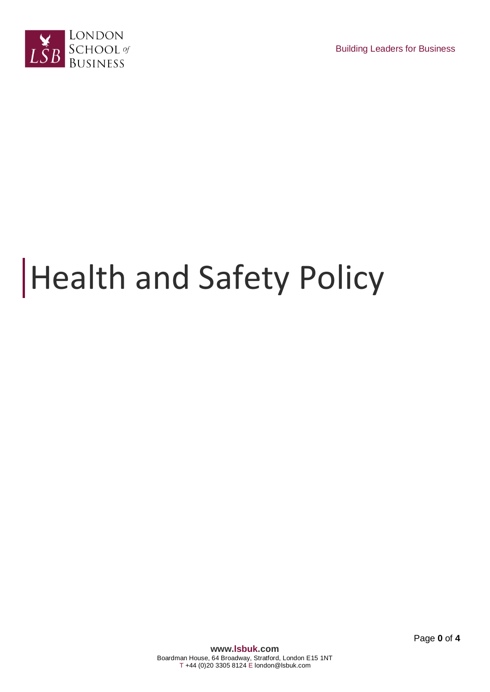



# Health and Safety Policy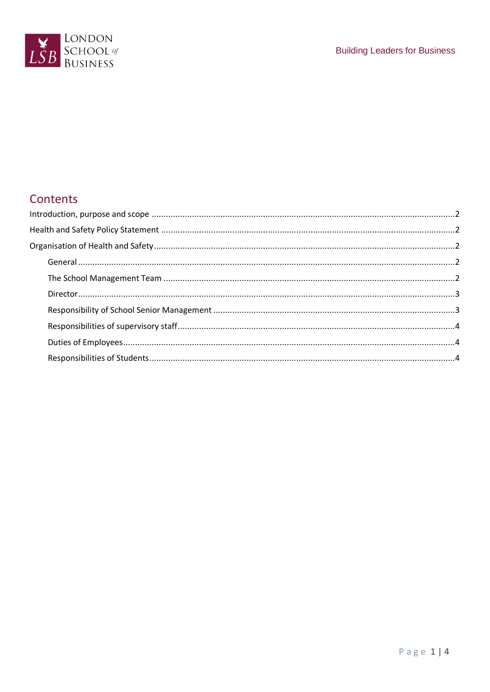

## Contents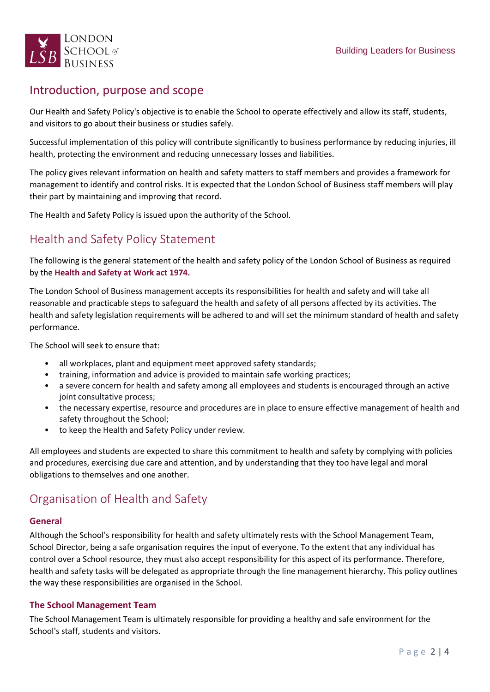

### <span id="page-2-0"></span>Introduction, purpose and scope

Our Health and Safety Policy's objective is to enable the School to operate effectively and allow its staff, students, and visitors to go about their business or studies safely.

Successful implementation of this policy will contribute significantly to business performance by reducing injuries, ill health, protecting the environment and reducing unnecessary losses and liabilities.

The policy gives relevant information on health and safety matters to staff members and provides a framework for management to identify and control risks. It is expected that the London School of Business staff members will play their part by maintaining and improving that record.

The Health and Safety Policy is issued upon the authority of the School.

## <span id="page-2-1"></span>Health and Safety Policy Statement

The following is the general statement of the health and safety policy of the London School of Business as required by the **Health and Safety at Work act 1974.**

The London School of Business management accepts its responsibilities for health and safety and will take all reasonable and practicable steps to safeguard the health and safety of all persons affected by its activities. The health and safety legislation requirements will be adhered to and will set the minimum standard of health and safety performance.

The School will seek to ensure that:

- all workplaces, plant and equipment meet approved safety standards;
- training, information and advice is provided to maintain safe working practices;
- a severe concern for health and safety among all employees and students is encouraged through an active joint consultative process;
- the necessary expertise, resource and procedures are in place to ensure effective management of health and safety throughout the School;
- to keep the Health and Safety Policy under review.

All employees and students are expected to share this commitment to health and safety by complying with policies and procedures, exercising due care and attention, and by understanding that they too have legal and moral obligations to themselves and one another.

## <span id="page-2-2"></span>Organisation of Health and Safety

#### <span id="page-2-3"></span>**General**

Although the School's responsibility for health and safety ultimately rests with the School Management Team, School Director, being a safe organisation requires the input of everyone. To the extent that any individual has control over a School resource, they must also accept responsibility for this aspect of its performance. Therefore, health and safety tasks will be delegated as appropriate through the line management hierarchy. This policy outlines the way these responsibilities are organised in the School.

#### <span id="page-2-4"></span>**The School Management Team**

The School Management Team is ultimately responsible for providing a healthy and safe environment for the School's staff, students and visitors.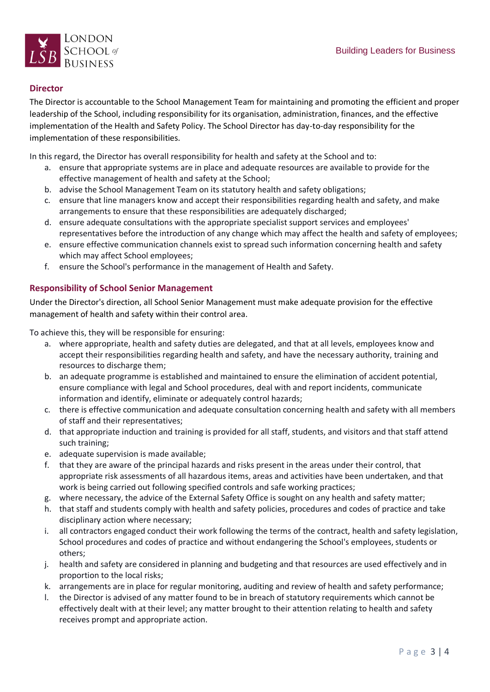

#### <span id="page-3-0"></span>**Director**

The Director is accountable to the School Management Team for maintaining and promoting the efficient and proper leadership of the School, including responsibility for its organisation, administration, finances, and the effective implementation of the Health and Safety Policy. The School Director has day-to-day responsibility for the implementation of these responsibilities.

In this regard, the Director has overall responsibility for health and safety at the School and to:

- a. ensure that appropriate systems are in place and adequate resources are available to provide for the effective management of health and safety at the School;
- b. advise the School Management Team on its statutory health and safety obligations;
- c. ensure that line managers know and accept their responsibilities regarding health and safety, and make arrangements to ensure that these responsibilities are adequately discharged;
- d. ensure adequate consultations with the appropriate specialist support services and employees' representatives before the introduction of any change which may affect the health and safety of employees;
- e. ensure effective communication channels exist to spread such information concerning health and safety which may affect School employees;
- f. ensure the School's performance in the management of Health and Safety.

#### <span id="page-3-1"></span>**Responsibility of School Senior Management**

Under the Director's direction, all School Senior Management must make adequate provision for the effective management of health and safety within their control area.

To achieve this, they will be responsible for ensuring:

- a. where appropriate, health and safety duties are delegated, and that at all levels, employees know and accept their responsibilities regarding health and safety, and have the necessary authority, training and resources to discharge them;
- b. an adequate programme is established and maintained to ensure the elimination of accident potential, ensure compliance with legal and School procedures, deal with and report incidents, communicate information and identify, eliminate or adequately control hazards;
- c. there is effective communication and adequate consultation concerning health and safety with all members of staff and their representatives;
- d. that appropriate induction and training is provided for all staff, students, and visitors and that staff attend such training;
- e. adequate supervision is made available;
- f. that they are aware of the principal hazards and risks present in the areas under their control, that appropriate risk assessments of all hazardous items, areas and activities have been undertaken, and that work is being carried out following specified controls and safe working practices;
- g. where necessary, the advice of the External Safety Office is sought on any health and safety matter;
- h. that staff and students comply with health and safety policies, procedures and codes of practice and take disciplinary action where necessary;
- i. all contractors engaged conduct their work following the terms of the contract, health and safety legislation, School procedures and codes of practice and without endangering the School's employees, students or others;
- j. health and safety are considered in planning and budgeting and that resources are used effectively and in proportion to the local risks;
- k. arrangements are in place for regular monitoring, auditing and review of health and safety performance;
- l. the Director is advised of any matter found to be in breach of statutory requirements which cannot be effectively dealt with at their level; any matter brought to their attention relating to health and safety receives prompt and appropriate action.